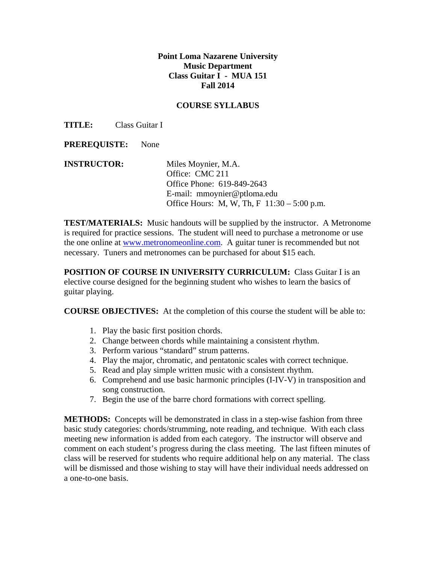## **Point Loma Nazarene University Music Department Class Guitar I - MUA 151 Fall 2014**

## **COURSE SYLLABUS**

**TITLE:** Class Guitar I

**PREREQUISTE:** None

**INSTRUCTOR:** Miles Moynier, M.A. Office: CMC 211 Office Phone: 619-849-2643 E-mail: mmoynier@ptloma.edu Office Hours: M, W, Th, F 11:30 – 5:00 p.m.

**TEST/MATERIALS:** Music handouts will be supplied by the instructor. A Metronome is required for practice sessions. The student will need to purchase a metronome or use the one online at www.metronomeonline.com. A guitar tuner is recommended but not necessary. Tuners and metronomes can be purchased for about \$15 each.

**POSITION OF COURSE IN UNIVERSITY CURRICULUM:** Class Guitar I is an elective course designed for the beginning student who wishes to learn the basics of guitar playing.

**COURSE OBJECTIVES:** At the completion of this course the student will be able to:

- 1. Play the basic first position chords.
- 2. Change between chords while maintaining a consistent rhythm.
- 3. Perform various "standard" strum patterns.
- 4. Play the major, chromatic, and pentatonic scales with correct technique.
- 5. Read and play simple written music with a consistent rhythm.
- 6. Comprehend and use basic harmonic principles (I-IV-V) in transposition and song construction.
- 7. Begin the use of the barre chord formations with correct spelling.

**METHODS:** Concepts will be demonstrated in class in a step-wise fashion from three basic study categories: chords/strumming, note reading, and technique. With each class meeting new information is added from each category. The instructor will observe and comment on each student's progress during the class meeting. The last fifteen minutes of class will be reserved for students who require additional help on any material. The class will be dismissed and those wishing to stay will have their individual needs addressed on a one-to-one basis.